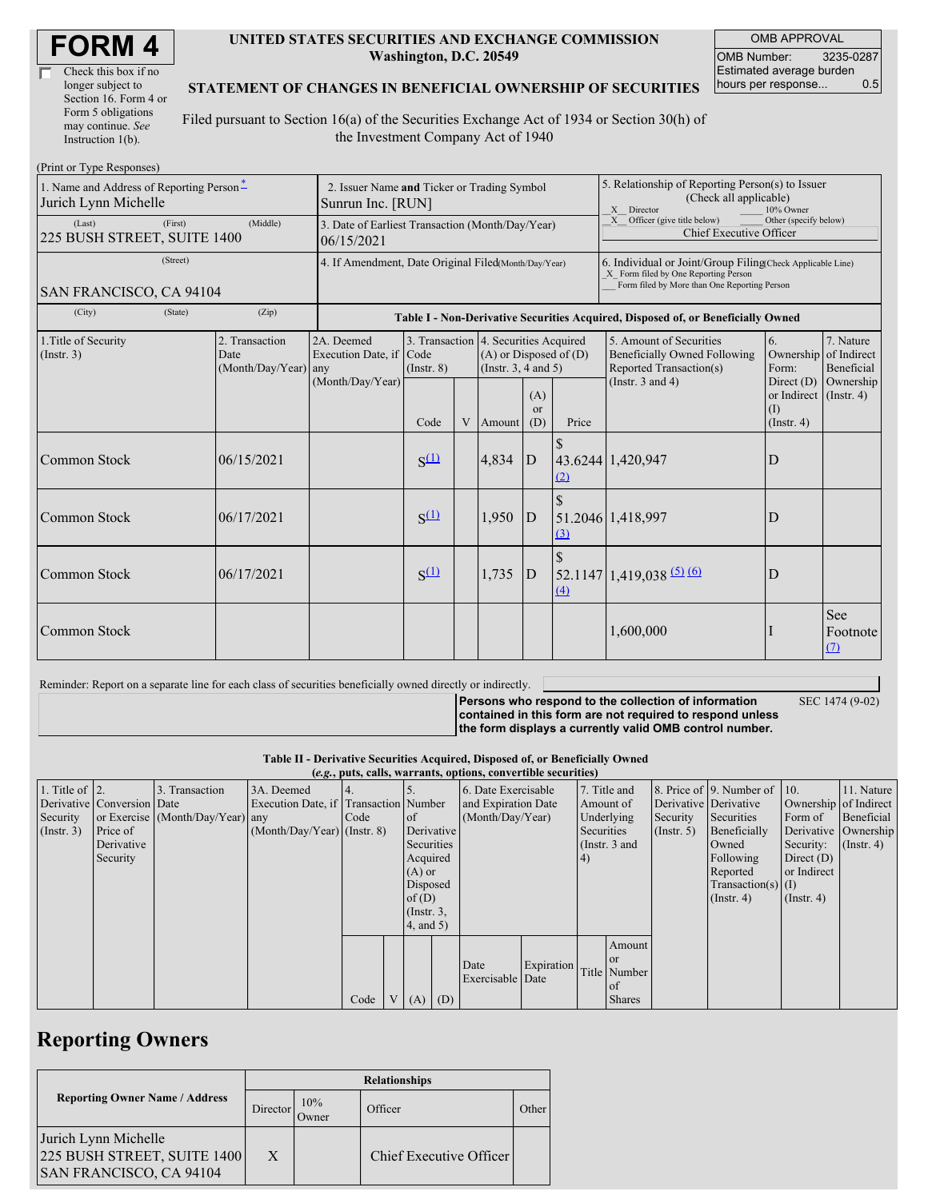| Check this box if no  |  |
|-----------------------|--|
| longer subject to     |  |
| Section 16. Form 4 or |  |
| Form 5 obligations    |  |
| may continue. See     |  |
| Instruction 1(b).     |  |

#### **UNITED STATES SECURITIES AND EXCHANGE COMMISSION Washington, D.C. 20549**

OMB APPROVAL OMB Number: 3235-0287 Estimated average burden hours per response... 0.5

#### **STATEMENT OF CHANGES IN BENEFICIAL OWNERSHIP OF SECURITIES**

Filed pursuant to Section 16(a) of the Securities Exchange Act of 1934 or Section 30(h) of the Investment Company Act of 1940

| (Print or Type Responses)                                                             |                                                                  |                                                           |                                                                                  |             |                                                                                             |                             |                                                                                                                                                    |                                                                                           |                                                                 |                                        |  |  |
|---------------------------------------------------------------------------------------|------------------------------------------------------------------|-----------------------------------------------------------|----------------------------------------------------------------------------------|-------------|---------------------------------------------------------------------------------------------|-----------------------------|----------------------------------------------------------------------------------------------------------------------------------------------------|-------------------------------------------------------------------------------------------|-----------------------------------------------------------------|----------------------------------------|--|--|
| 1. Name and Address of Reporting Person*<br>Jurich Lynn Michelle                      | 2. Issuer Name and Ticker or Trading Symbol<br>Sunrun Inc. [RUN] |                                                           |                                                                                  |             |                                                                                             |                             | 5. Relationship of Reporting Person(s) to Issuer<br>(Check all applicable)<br>X Director<br>10% Owner                                              |                                                                                           |                                                                 |                                        |  |  |
| (First)<br>(Last)<br>225 BUSH STREET, SUITE 1400                                      | 3. Date of Earliest Transaction (Month/Day/Year)<br>06/15/2021   |                                                           |                                                                                  |             |                                                                                             |                             | $X$ Officer (give title below)<br>Other (specify below)<br>Chief Executive Officer                                                                 |                                                                                           |                                                                 |                                        |  |  |
| (Street)<br>SAN FRANCISCO, CA 94104                                                   | 4. If Amendment, Date Original Filed(Month/Day/Year)             |                                                           |                                                                                  |             |                                                                                             |                             | 6. Individual or Joint/Group Filing(Check Applicable Line)<br>X Form filed by One Reporting Person<br>Form filed by More than One Reporting Person |                                                                                           |                                                                 |                                        |  |  |
| (City)<br>(State)                                                                     | (Zip)                                                            |                                                           | Table I - Non-Derivative Securities Acquired, Disposed of, or Beneficially Owned |             |                                                                                             |                             |                                                                                                                                                    |                                                                                           |                                                                 |                                        |  |  |
| 1. Title of Security<br>2. Transaction<br>(Insert. 3)<br>Date<br>(Month/Day/Year) any |                                                                  | 2A. Deemed<br>Execution Date, if Code<br>(Month/Day/Year) | (Insert, 8)                                                                      |             | 3. Transaction 4. Securities Acquired<br>$(A)$ or Disposed of $(D)$<br>(Insert. 3, 4 and 5) |                             |                                                                                                                                                    | 5. Amount of Securities<br><b>Beneficially Owned Following</b><br>Reported Transaction(s) | 6.<br>Ownership<br>Form:                                        | 7. Nature<br>of Indirect<br>Beneficial |  |  |
|                                                                                       |                                                                  |                                                           | Code                                                                             | V<br>Amount |                                                                                             | (A)<br><sub>or</sub><br>(D) | Price                                                                                                                                              | (Instr. $3$ and $4$ )                                                                     | Direct $(D)$<br>or Indirect $($ Instr. 4)<br>(I)<br>(Insert, 4) | Ownership                              |  |  |
| <b>Common Stock</b>                                                                   | 06/15/2021                                                       |                                                           | $S^{(1)}$                                                                        |             | 4,834                                                                                       | D                           | (2)                                                                                                                                                | 43.6244 1,420,947                                                                         | D                                                               |                                        |  |  |
| <b>Common Stock</b>                                                                   | 06/17/2021                                                       |                                                           | $S^{(1)}$                                                                        |             | 1,950                                                                                       | D                           | $\mathcal{S}$<br>$\Omega$                                                                                                                          | 51.2046 1,418,997                                                                         | D                                                               |                                        |  |  |
| Common Stock                                                                          | 06/17/2021                                                       |                                                           | $S^{(1)}$                                                                        |             | 1,735                                                                                       | $\overline{D}$              | $\Delta$                                                                                                                                           | $52.1147$ 1,419,038 (5) (6)                                                               | D                                                               |                                        |  |  |
| Common Stock                                                                          |                                                                  |                                                           |                                                                                  |             |                                                                                             |                             |                                                                                                                                                    | 1,600,000                                                                                 |                                                                 | See<br>Footnote<br>$\Omega$            |  |  |

Reminder: Report on a separate line for each class of securities beneficially owned directly or indirectly.

**Persons who respond to the collection of information**

SEC 1474 (9-02)

**contained in this form are not required to respond unless the form displays a currently valid OMB control number.**

**Table II - Derivative Securities Acquired, Disposed of, or Beneficially Owned**

| (e.g., puts, calls, warrants, options, convertible securities) |                            |                                  |                                       |      |  |                  |                     |                     |                   |                 |               |                       |                              |                       |                      |
|----------------------------------------------------------------|----------------------------|----------------------------------|---------------------------------------|------|--|------------------|---------------------|---------------------|-------------------|-----------------|---------------|-----------------------|------------------------------|-----------------------|----------------------|
| 1. Title of $\vert$ 2.                                         |                            | 3. Transaction                   | 3A. Deemed                            |      |  |                  |                     | 6. Date Exercisable |                   |                 | 7. Title and  |                       | 8. Price of 9. Number of 10. |                       | 11. Nature           |
|                                                                | Derivative Conversion Date |                                  | Execution Date, if Transaction Number |      |  |                  | and Expiration Date |                     |                   | Amount of       |               | Derivative Derivative |                              | Ownership of Indirect |                      |
| Security                                                       |                            | or Exercise (Month/Day/Year) any |                                       | Code |  | of               | (Month/Day/Year)    |                     |                   |                 | Underlying    | Security              | Securities                   | Form of               | Beneficial           |
| (Insert. 3)                                                    | Price of                   |                                  | $(Month/Day/Year)$ (Instr. 8)         |      |  | Derivative       |                     |                     |                   |                 | Securities    | $($ Instr. 5)         | Beneficially                 |                       | Derivative Ownership |
|                                                                | Derivative                 |                                  |                                       |      |  | Securities       |                     |                     |                   | (Instr. $3$ and |               |                       | Owned                        | Security:             | $($ Instr. 4)        |
|                                                                | Security                   |                                  |                                       |      |  | Acquired         |                     |                     |                   | (4)             |               |                       | Following                    | Direct $(D)$          |                      |
|                                                                |                            |                                  |                                       |      |  | $(A)$ or         |                     |                     |                   |                 |               |                       | Reported                     | or Indirect           |                      |
|                                                                |                            |                                  |                                       |      |  | Disposed         |                     |                     |                   |                 |               |                       | Transaction(s) $(I)$         |                       |                      |
|                                                                |                            |                                  |                                       |      |  | of $(D)$         |                     |                     |                   |                 |               |                       | $($ Instr. 4 $)$             | $($ Instr. 4 $)$      |                      |
|                                                                |                            |                                  |                                       |      |  | $($ Instr. $3$ , |                     |                     |                   |                 |               |                       |                              |                       |                      |
|                                                                |                            |                                  |                                       |      |  | $4$ , and $5$ )  |                     |                     |                   |                 |               |                       |                              |                       |                      |
|                                                                |                            |                                  |                                       |      |  |                  |                     |                     |                   |                 | Amount        |                       |                              |                       |                      |
|                                                                |                            |                                  |                                       |      |  |                  |                     |                     |                   |                 | <b>or</b>     |                       |                              |                       |                      |
|                                                                |                            |                                  |                                       |      |  |                  |                     | Date                | <b>Expiration</b> |                 | Title Number  |                       |                              |                       |                      |
|                                                                |                            |                                  |                                       |      |  |                  |                     | Exercisable Date    |                   |                 | of            |                       |                              |                       |                      |
|                                                                |                            |                                  |                                       | Code |  | $V(A)$ (D)       |                     |                     |                   |                 | <b>Shares</b> |                       |                              |                       |                      |

## **Reporting Owners**

|                                                                                | <b>Relationships</b> |                      |                         |       |  |  |  |  |
|--------------------------------------------------------------------------------|----------------------|----------------------|-------------------------|-------|--|--|--|--|
| <b>Reporting Owner Name / Address</b>                                          | Director             | 10%<br><b>J</b> wner | Officer                 | Other |  |  |  |  |
| Jurich Lynn Michelle<br>225 BUSH STREET, SUITE 1400<br>SAN FRANCISCO, CA 94104 | X                    |                      | Chief Executive Officer |       |  |  |  |  |